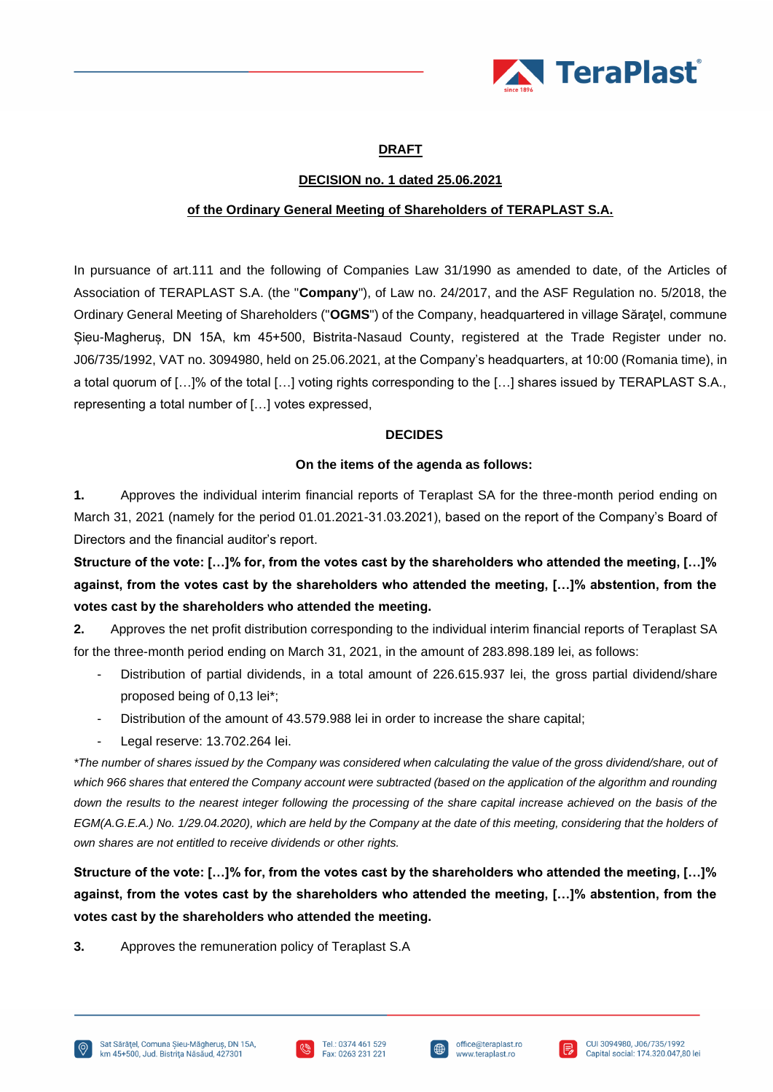

# **DRAFT**

## **DECISION no. 1 dated 25.06.2021**

### **of the Ordinary General Meeting of Shareholders of TERAPLAST S.A.**

In pursuance of art.111 and the following of Companies Law 31/1990 as amended to date, of the Articles of Association of TERAPLAST S.A. (the "**Company**"), of Law no. 24/2017, and the ASF Regulation no. 5/2018, the Ordinary General Meeting of Shareholders ("**OGMS**") of the Company, headquartered in village Săraţel, commune Șieu-Magheruș, DN 15A, km 45+500, Bistrita-Nasaud County, registered at the Trade Register under no. J06/735/1992, VAT no. 3094980, held on 25.06.2021, at the Company's headquarters, at 10:00 (Romania time), in a total quorum of […]% of the total […] voting rights corresponding to the […] shares issued by TERAPLAST S.A., representing a total number of […] votes expressed,

### **DECIDES**

### **On the items of the agenda as follows:**

**1.** Approves the individual interim financial reports of Teraplast SA for the three-month period ending on March 31, 2021 (namely for the period 01.01.2021-31.03.2021), based on the report of the Company's Board of Directors and the financial auditor's report.

**Structure of the vote: […]% for, from the votes cast by the shareholders who attended the meeting, […]% against, from the votes cast by the shareholders who attended the meeting, […]% abstention, from the votes cast by the shareholders who attended the meeting.**

**2.** Approves the net profit distribution corresponding to the individual interim financial reports of Teraplast SA for the three-month period ending on March 31, 2021, in the amount of 283.898.189 lei, as follows:

- Distribution of partial dividends, in a total amount of 226.615.937 lei, the gross partial dividend/share proposed being of 0,13 lei\*;
- Distribution of the amount of 43.579.988 lei in order to increase the share capital;
- Legal reserve: 13.702.264 lei.

*\*The number of shares issued by the Company was considered when calculating the value of the gross dividend/share, out of*  which 966 shares that entered the Company account were subtracted (based on the application of the algorithm and rounding down the results to the nearest integer following the processing of the share capital increase achieved on the basis of the *EGM(A.G.E.A.) No. 1/29.04.2020), which are held by the Company at the date of this meeting, considering that the holders of own shares are not entitled to receive dividends or other rights.*

**Structure of the vote: […]% for, from the votes cast by the shareholders who attended the meeting, […]% against, from the votes cast by the shareholders who attended the meeting, […]% abstention, from the votes cast by the shareholders who attended the meeting.**

**3.** Approves the remuneration policy of Teraplast S.A





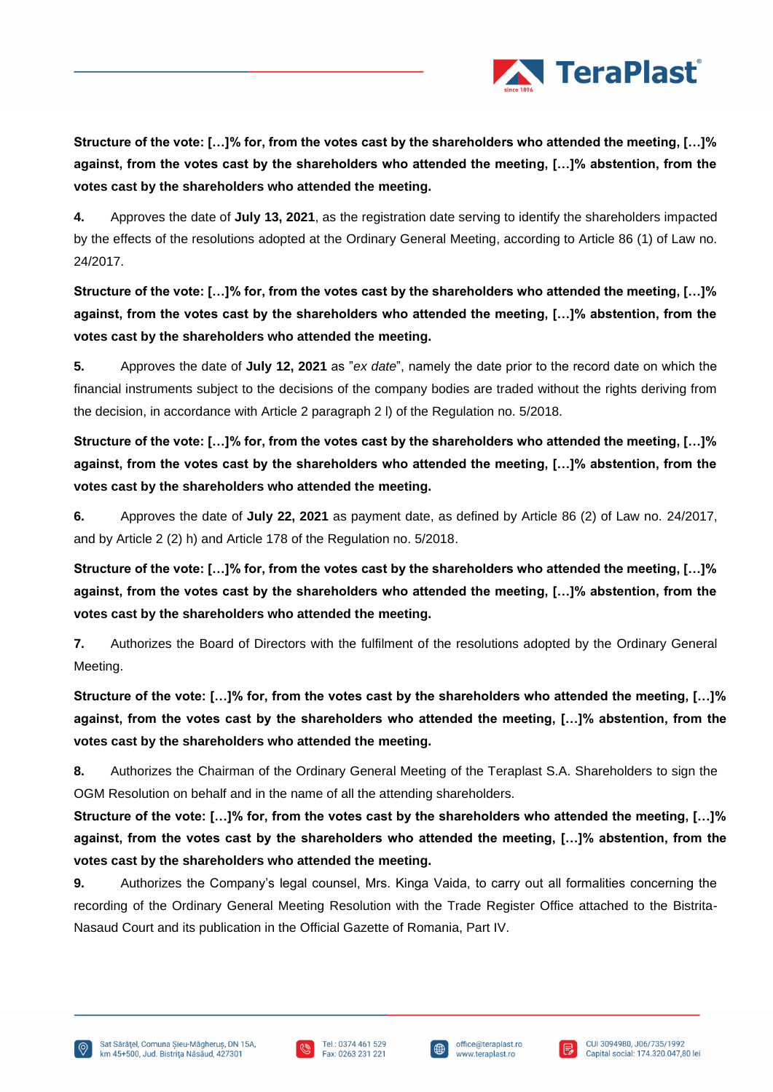

**Structure of the vote: […]% for, from the votes cast by the shareholders who attended the meeting, […]% against, from the votes cast by the shareholders who attended the meeting, […]% abstention, from the votes cast by the shareholders who attended the meeting.**

**4.** Approves the date of **July 13, 2021**, as the registration date serving to identify the shareholders impacted by the effects of the resolutions adopted at the Ordinary General Meeting, according to Article 86 (1) of Law no. 24/2017.

**Structure of the vote: […]% for, from the votes cast by the shareholders who attended the meeting, […]% against, from the votes cast by the shareholders who attended the meeting, […]% abstention, from the votes cast by the shareholders who attended the meeting.**

**5.** Approves the date of **July 12, 2021** as "*ex date*", namely the date prior to the record date on which the financial instruments subject to the decisions of the company bodies are traded without the rights deriving from the decision, in accordance with Article 2 paragraph 2 l) of the Regulation no. 5/2018.

**Structure of the vote: […]% for, from the votes cast by the shareholders who attended the meeting, […]% against, from the votes cast by the shareholders who attended the meeting, […]% abstention, from the votes cast by the shareholders who attended the meeting.**

**6.** Approves the date of **July 22, 2021** as payment date, as defined by Article 86 (2) of Law no. 24/2017, and by Article 2 (2) h) and Article 178 of the Regulation no. 5/2018.

**Structure of the vote: […]% for, from the votes cast by the shareholders who attended the meeting, […]% against, from the votes cast by the shareholders who attended the meeting, […]% abstention, from the votes cast by the shareholders who attended the meeting.**

**7.** Authorizes the Board of Directors with the fulfilment of the resolutions adopted by the Ordinary General Meeting.

**Structure of the vote: […]% for, from the votes cast by the shareholders who attended the meeting, […]% against, from the votes cast by the shareholders who attended the meeting, […]% abstention, from the votes cast by the shareholders who attended the meeting.**

**8.** Authorizes the Chairman of the Ordinary General Meeting of the Teraplast S.A. Shareholders to sign the OGM Resolution on behalf and in the name of all the attending shareholders.

**Structure of the vote: […]% for, from the votes cast by the shareholders who attended the meeting, […]% against, from the votes cast by the shareholders who attended the meeting, […]% abstention, from the votes cast by the shareholders who attended the meeting.**

**9.** Authorizes the Company's legal counsel, Mrs. Kinga Vaida, to carry out all formalities concerning the recording of the Ordinary General Meeting Resolution with the Trade Register Office attached to the Bistrita-Nasaud Court and its publication in the Official Gazette of Romania, Part IV.